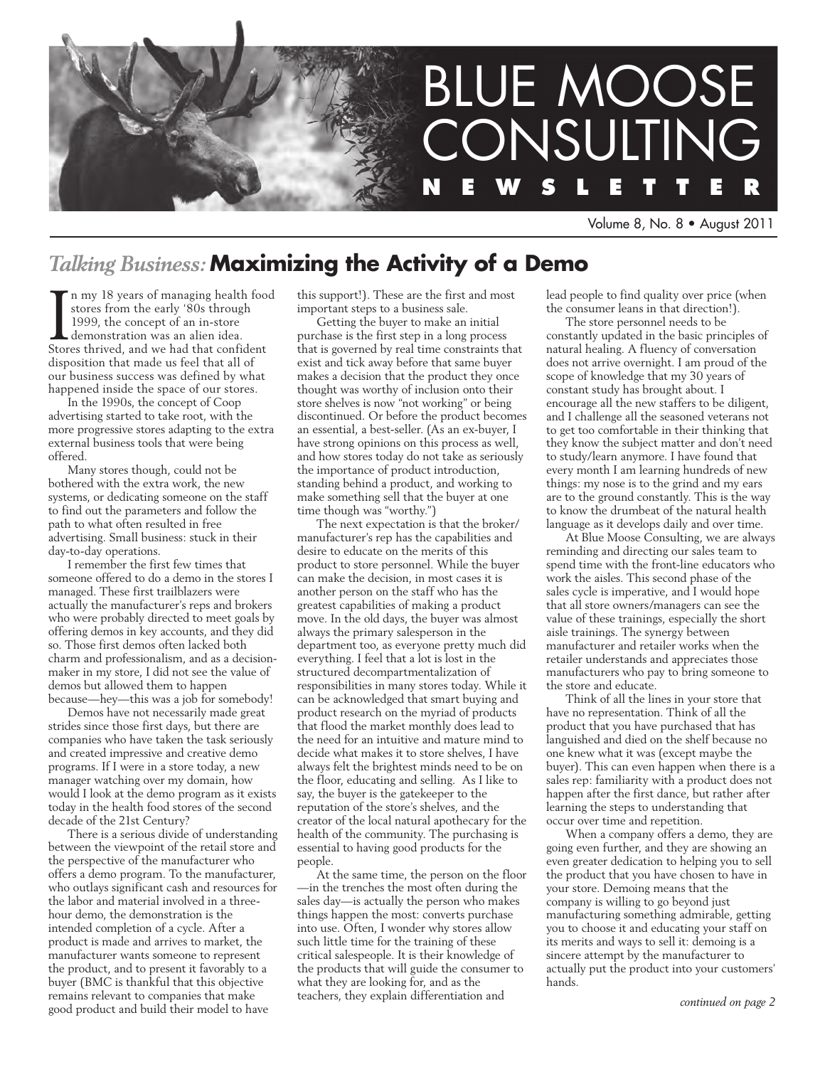

Volume 8, No. 8 • August 2011

# *Talking Business:* **Maximizing the Activity of a Demo**

In my 18 years of managing health foostores from the early '80s through 1999, the concept of an in-store demonstration was an alien idea.<br>Stores thrived, and we had that confident n my 18 years of managing health food stores from the early '80s through 1999, the concept of an in-store demonstration was an alien idea. disposition that made us feel that all of our business success was defined by what happened inside the space of our stores.

In the 1990s, the concept of Coop advertising started to take root, with the more progressive stores adapting to the extra external business tools that were being offered.

Many stores though, could not be bothered with the extra work, the new systems, or dedicating someone on the staff to find out the parameters and follow the path to what often resulted in free advertising. Small business: stuck in their day-to-day operations.

I remember the first few times that someone offered to do a demo in the stores I managed. These first trailblazers were actually the manufacturer's reps and brokers who were probably directed to meet goals by offering demos in key accounts, and they did so. Those first demos often lacked both charm and professionalism, and as a decisionmaker in my store, I did not see the value of demos but allowed them to happen because—hey—this was a job for somebody!

Demos have not necessarily made great strides since those first days, but there are companies who have taken the task seriously and created impressive and creative demo programs. If I were in a store today, a new manager watching over my domain, how would I look at the demo program as it exists today in the health food stores of the second decade of the 21st Century?

There is a serious divide of understanding between the viewpoint of the retail store and the perspective of the manufacturer who offers a demo program. To the manufacturer, who outlays significant cash and resources for the labor and material involved in a threehour demo, the demonstration is the intended completion of a cycle. After a product is made and arrives to market, the manufacturer wants someone to represent the product, and to present it favorably to a buyer (BMC is thankful that this objective remains relevant to companies that make good product and build their model to have

this support!). These are the first and most important steps to a business sale.

Getting the buyer to make an initial purchase is the first step in a long process that is governed by real time constraints that exist and tick away before that same buyer makes a decision that the product they once thought was worthy of inclusion onto their store shelves is now "not working" or being discontinued. Or before the product becomes an essential, a best-seller. (As an ex-buyer, I have strong opinions on this process as well, and how stores today do not take as seriously the importance of product introduction, standing behind a product, and working to make something sell that the buyer at one time though was "worthy.")

The next expectation is that the broker/ manufacturer's rep has the capabilities and desire to educate on the merits of this product to store personnel. While the buyer can make the decision, in most cases it is another person on the staff who has the greatest capabilities of making a product move. In the old days, the buyer was almost always the primary salesperson in the department too, as everyone pretty much did everything. I feel that a lot is lost in the structured decompartmentalization of responsibilities in many stores today. While it can be acknowledged that smart buying and product research on the myriad of products that flood the market monthly does lead to the need for an intuitive and mature mind to decide what makes it to store shelves, I have always felt the brightest minds need to be on the floor, educating and selling. As I like to say, the buyer is the gatekeeper to the reputation of the store's shelves, and the creator of the local natural apothecary for the health of the community. The purchasing is essential to having good products for the people.

At the same time, the person on the floor —in the trenches the most often during the sales day—is actually the person who makes things happen the most: converts purchase into use. Often, I wonder why stores allow such little time for the training of these critical salespeople. It is their knowledge of the products that will guide the consumer to what they are looking for, and as the teachers, they explain differentiation and

lead people to find quality over price (when the consumer leans in that direction!).

The store personnel needs to be constantly updated in the basic principles of natural healing. A fluency of conversation does not arrive overnight. I am proud of the scope of knowledge that my 30 years of constant study has brought about. I encourage all the new staffers to be diligent, and I challenge all the seasoned veterans not to get too comfortable in their thinking that they know the subject matter and don't need to study/learn anymore. I have found that every month I am learning hundreds of new things: my nose is to the grind and my ears are to the ground constantly. This is the way to know the drumbeat of the natural health language as it develops daily and over time.

At Blue Moose Consulting, we are always reminding and directing our sales team to spend time with the front-line educators who work the aisles. This second phase of the sales cycle is imperative, and I would hope that all store owners/managers can see the value of these trainings, especially the short aisle trainings. The synergy between manufacturer and retailer works when the retailer understands and appreciates those manufacturers who pay to bring someone to the store and educate.

Think of all the lines in your store that have no representation. Think of all the product that you have purchased that has languished and died on the shelf because no one knew what it was (except maybe the buyer). This can even happen when there is a sales rep: familiarity with a product does not happen after the first dance, but rather after learning the steps to understanding that occur over time and repetition.

When a company offers a demo, they are going even further, and they are showing an even greater dedication to helping you to sell the product that you have chosen to have in your store. Demoing means that the company is willing to go beyond just manufacturing something admirable, getting you to choose it and educating your staff on its merits and ways to sell it: demoing is a sincere attempt by the manufacturer to actually put the product into your customers' hands.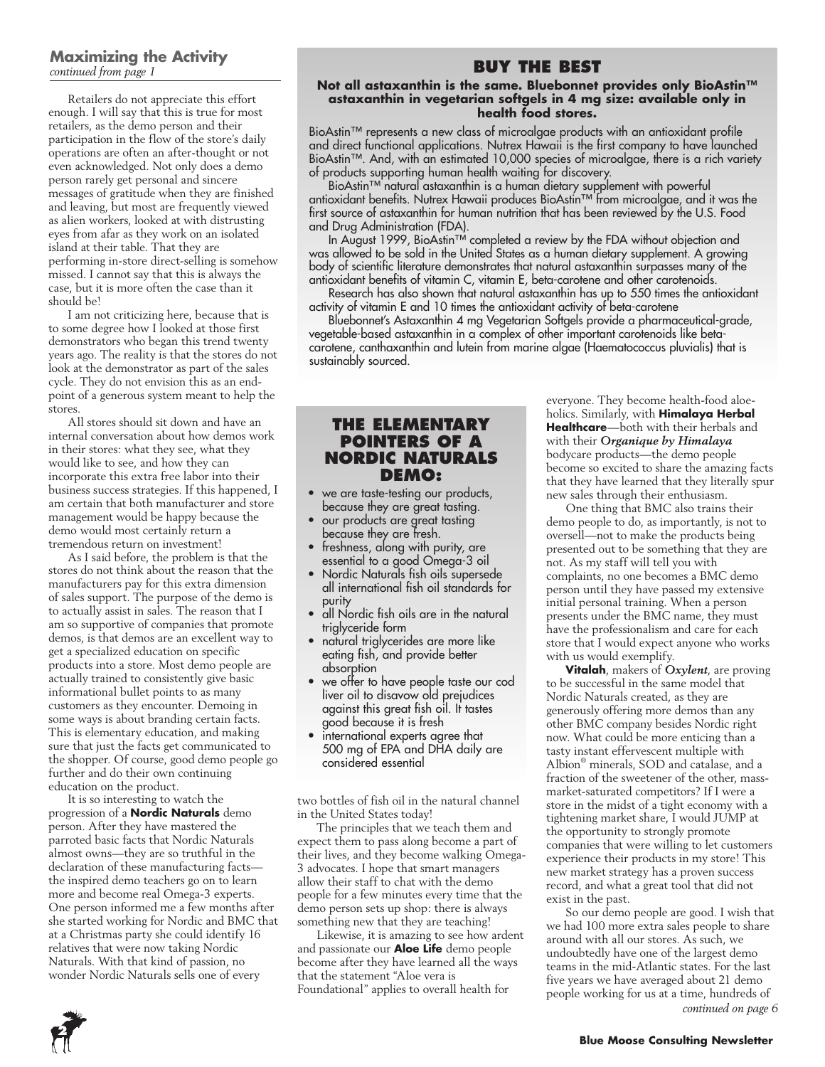#### **Maximizing the Activity** *continued from page 1*

Retailers do not appreciate this effort enough. I will say that this is true for most retailers, as the demo person and their participation in the flow of the store's daily operations are often an after-thought or not even acknowledged. Not only does a demo person rarely get personal and sincere messages of gratitude when they are finished and leaving, but most are frequently viewed as alien workers, looked at with distrusting eyes from afar as they work on an isolated island at their table. That they are performing in-store direct-selling is somehow missed. I cannot say that this is always the case, but it is more often the case than it should be!

I am not criticizing here, because that is to some degree how I looked at those first demonstrators who began this trend twenty years ago. The reality is that the stores do not look at the demonstrator as part of the sales cycle. They do not envision this as an endpoint of a generous system meant to help the stores.

All stores should sit down and have an internal conversation about how demos work in their stores: what they see, what they would like to see, and how they can incorporate this extra free labor into their business success strategies. If this happened, I am certain that both manufacturer and store management would be happy because the demo would most certainly return a tremendous return on investment!

As I said before, the problem is that the stores do not think about the reason that the manufacturers pay for this extra dimension of sales support. The purpose of the demo is to actually assist in sales. The reason that I am so supportive of companies that promote demos, is that demos are an excellent way to get a specialized education on specific products into a store. Most demo people are actually trained to consistently give basic informational bullet points to as many customers as they encounter. Demoing in some ways is about branding certain facts. This is elementary education, and making sure that just the facts get communicated to the shopper. Of course, good demo people go further and do their own continuing education on the product.

It is so interesting to watch the progression of a **Nordic Naturals** demo person. After they have mastered the parroted basic facts that Nordic Naturals almost owns—they are so truthful in the declaration of these manufacturing facts the inspired demo teachers go on to learn more and become real Omega-3 experts. One person informed me a few months after she started working for Nordic and BMC that at a Christmas party she could identify 16 relatives that were now taking Nordic Naturals. With that kind of passion, no wonder Nordic Naturals sells one of every

### **Buy the Best**

#### **Not all astaxanthin is the same. Bluebonnet provides only BioAstin™ astaxanthin in vegetarian softgels in 4 mg size: available only in health food stores.**

BioAstin™ represents a new class of microalgae products with an antioxidant profile and direct functional applications. Nutrex Hawaii is the first company to have launched BioAstin™. And, with an estimated 10,000 species of microalgae, there is a rich variety of products supporting human health waiting for discovery.

BioAstin™ natural astaxanthin is a human dietary supplement with powerful antioxidant benefits. Nutrex Hawaii produces BioAstin™ from microalgae, and it was the first source of astaxanthin for human nutrition that has been reviewed by the U.S. Food and Drug Administration (FDA).

In August 1999, BioAstin™ completed a review by the FDA without objection and was allowed to be sold in the United States as a human dietary supplement. A growing body of scientific literature demonstrates that natural astaxanthin surpasses many of the antioxidant benefits of vitamin C, vitamin E, beta-carotene and other carotenoids.

Research has also shown that natural astaxanthin has up to 550 times the antioxidant activity of vitamin E and 10 times the antioxidant activity of beta-carotene

Bluebonnet's Astaxanthin 4 mg Vegetarian Softgels provide a pharmaceutical-grade, vegetable-based astaxanthin in a complex of other important carotenoids like betacarotene, canthaxanthin and lutein from marine algae (Haematococcus pluvialis) that is sustainably sourced.

#### **The Elementary Pointers of a Nordic Naturals Demo:**

- we are taste-testing our products, because they are great tasting.
- our products are great tasting because they are fresh.
- freshness, along with purity, are essential to a good Omega-3 oil
- Nordic Naturals fish oils supersede all international fish oil standards for purity
- all Nordic fish oils are in the natural triglyceride form
- natural triglycerides are more like eating fish, and provide better absorption
- we offer to have people taste our cod liver oil to disavow old prejudices against this great fish oil. It tastes good because it is fresh
- international experts agree that 500 mg of EPA and DHA daily are considered essential

two bottles of fish oil in the natural channel in the United States today!

The principles that we teach them and expect them to pass along become a part of their lives, and they become walking Omega-3 advocates. I hope that smart managers allow their staff to chat with the demo people for a few minutes every time that the demo person sets up shop: there is always something new that they are teaching!

Likewise, it is amazing to see how ardent and passionate our **Aloe Life** demo people become after they have learned all the ways that the statement "Aloe vera is Foundational" applies to overall health for

everyone. They become health-food aloeholics. Similarly, with **Himalaya Herbal Healthcare**—both with their herbals and with their *Organique by Himalaya*  bodycare products—the demo people become so excited to share the amazing facts that they have learned that they literally spur new sales through their enthusiasm.

One thing that BMC also trains their demo people to do, as importantly, is not to oversell—not to make the products being presented out to be something that they are not. As my staff will tell you with complaints, no one becomes a BMC demo person until they have passed my extensive initial personal training. When a person presents under the BMC name, they must have the professionalism and care for each store that I would expect anyone who works with us would exemplify.

**Vitalah**, makers of *Oxylent*, are proving to be successful in the same model that Nordic Naturals created, as they are generously offering more demos than any other BMC company besides Nordic right now. What could be more enticing than a tasty instant effervescent multiple with Albion® minerals, SOD and catalase, and a fraction of the sweetener of the other, massmarket-saturated competitors? If I were a store in the midst of a tight economy with a tightening market share, I would JUMP at the opportunity to strongly promote companies that were willing to let customers experience their products in my store! This new market strategy has a proven success record, and what a great tool that did not exist in the past.

So our demo people are good. I wish that we had 100 more extra sales people to share around with all our stores. As such, we undoubtedly have one of the largest demo teams in the mid-Atlantic states. For the last five years we have averaged about 21 demo people working for us at a time, hundreds of *continued on page 6*

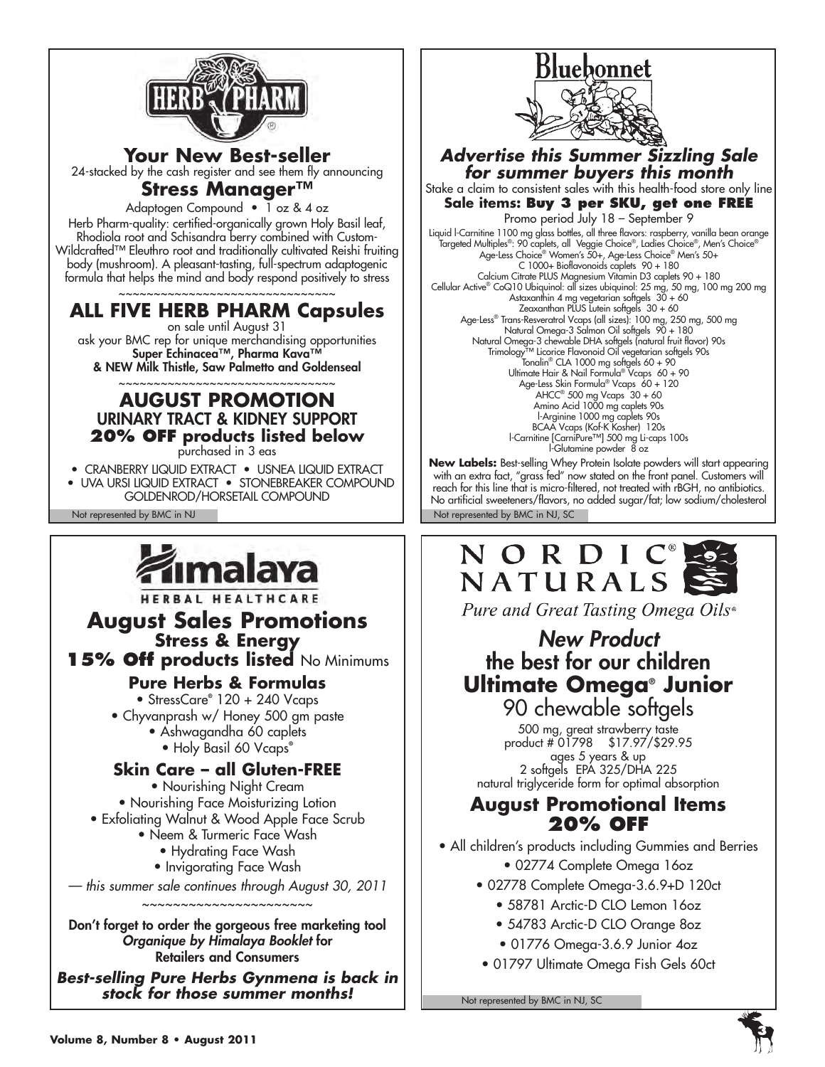

**Your New Best-seller**  24-stacked by the cash register and see them fly announcing **Stress Manager™** 

Adaptogen Compound • 1 oz & 4 oz

Herb Pharm-quality: certified-organically grown Holy Basil leaf, Rhodiola root and Schisandra berry combined with Custom-Wildcrafted™ Eleuthro root and traditionally cultivated Reishi fruiting body (mushroom). A pleasant-tasting, full-spectrum adaptogenic formula that helps the mind and body respond positively to stress

~~~~~~~~~~~~~~~~~~~~~~~~~~~~~ **ALL FIVE HERB PHARM Capsules** 

on sale until August 31 ask your BMC rep for unique merchandising opportunities Super Echinacea™, Pharma Kava™ & NEW Milk Thistle, Saw Palmetto and Goldenseal

#### ~~~~~~~~~~~~~~~~~~~~~~~~~~~~~ **AUGUST PROMOTION**  URINARY TRACT & KIDNEY SUPPORT **20% off products listed below** purchased in 3 eas

• CRANBERRY LIQUID EXTRACT • USNEA LIQUID EXTRACT

• UVA URSI LIQUID EXTRACT • STONEBREAKER COMPOUND GOLDENROD/HORSETAIL COMPOUND



HERBAL HEALTHCARE

**August Sales Promotions Stress & Energy** 

**15% Off products listed** No Minimums

**Pure Herbs & Formulas**

• StressCare**®** 120 + 240 Vcaps • Chyvanprash w/ Honey 500 gm paste • Ashwagandha 60 caplets • Holy Basil 60 Vcaps**®**

### **Skin Care – all Gluten-FREE**

• Nourishing Night Cream • Nourishing Face Moisturizing Lotion • Exfoliating Walnut & Wood Apple Face Scrub • Neem & Turmeric Face Wash

- Hydrating Face Wash
- Invigorating Face Wash

*— this summer sale continues through August 30, 2011* ~~~~~~~~~~~~~~~~~~~~

Don't forget to order the gorgeous free marketing tool *Organique by Himalaya Booklet* for Retailers and Consumers

*Best-selling Pure Herbs Gynmena is back in stock for those summer months!*



*Advertise this Summer Sizzling Sale for summer buyers this month* Stake a claim to consistent sales with this health-food store only line

**Sale items: Buy 3 per SKU, get one FREE** Promo period July 18 – September 9

Liquid l-Carnitine 1100 mg glass bottles, all three flavors: raspberry, vanilla bean orange<br>Targeted Multiples®: 90 caplets, all Veggie Choice®, Ladies Choice®, Men's Choice®<br>Age-Less Choice® Women's 50+, Age-Less Choice® C 1000+ Bioflavonoids caplets 90 + 180 Calcium Citrate PLUS Magnesium Vitamin D3 caplets 90 + 180 Cellular Active® CoQ10 Ubiquinol: all sizes ubiquinol: 25 mg, 50 mg, 100 mg 200 mg Astaxanthin 4 mg vegetarian softgels 30 + 60 Zeaxanthan PLUS Lutein softgels 30 + 60 Age-Less® Trans-Resveratrol Vcaps (all sizes): 100 mg, 250 mg, 500 mg Natural Omega-3 Salmon Oil softgels 90 + 180 Natural Omega-3 chewable DHA softgels (natural fruit flavor) 90s Trimology™ Licorice Flavonoid Oil vegetarian softgels 90s<br>Tonalin® CLA 1000 mg softgels 60 + 90<br>Ultimate Hair & Nail Formula® Vcaps 60 + 90 Age-Less Skin Formula® Vcaps 60 + 120 AHCC® 500 mg Vcaps 30 + 60 Amino Acid 1000 mg caplets 90s l-Arginine 1000 mg caplets 90s BCAA Vcaps (Kof-K Kosher) 120s l-Carnitine [CarniPure™] 500 mg Li-caps 100s l-Glutamine powder 8 oz

Not represented by BMC in NJ Not represented by BMC in NJ, SC **New Labels:** Best-selling Whey Protein Isolate powders will start appearing with an extra fact, "grass fed" now stated on the front panel. Customers will reach for this line that is micro-filtered, not treated with rBGH, no antibiotics. No artificial sweeteners/flavors, no added sugar/fat; low sodium/cholesterol

# NORDIC NATURALS



### *New Product*  the best for our children **Ultimate Omega® Junior** 90 chewable softgels

500 mg, great strawberry taste product # 01798 \$17.97/\$29.95 ages 5 years & up 2 softgels EPA 325/DHA 225 natural triglyceride form for optimal absorption

### **August Promotional Items 20% off**

• All children's products including Gummies and Berries • 02774 Complete Omega 16oz

- 02778 Complete Omega-3.6.9+D 120ct
	- 58781 Arctic-D CLO Lemon 16oz
	- 54783 Arctic-D CLO Orange 8oz
	- 01776 Omega-3.6.9 Junior 4oz
- 01797 Ultimate Omega Fish Gels 60ct

Not represented by BMC in NJ, SC

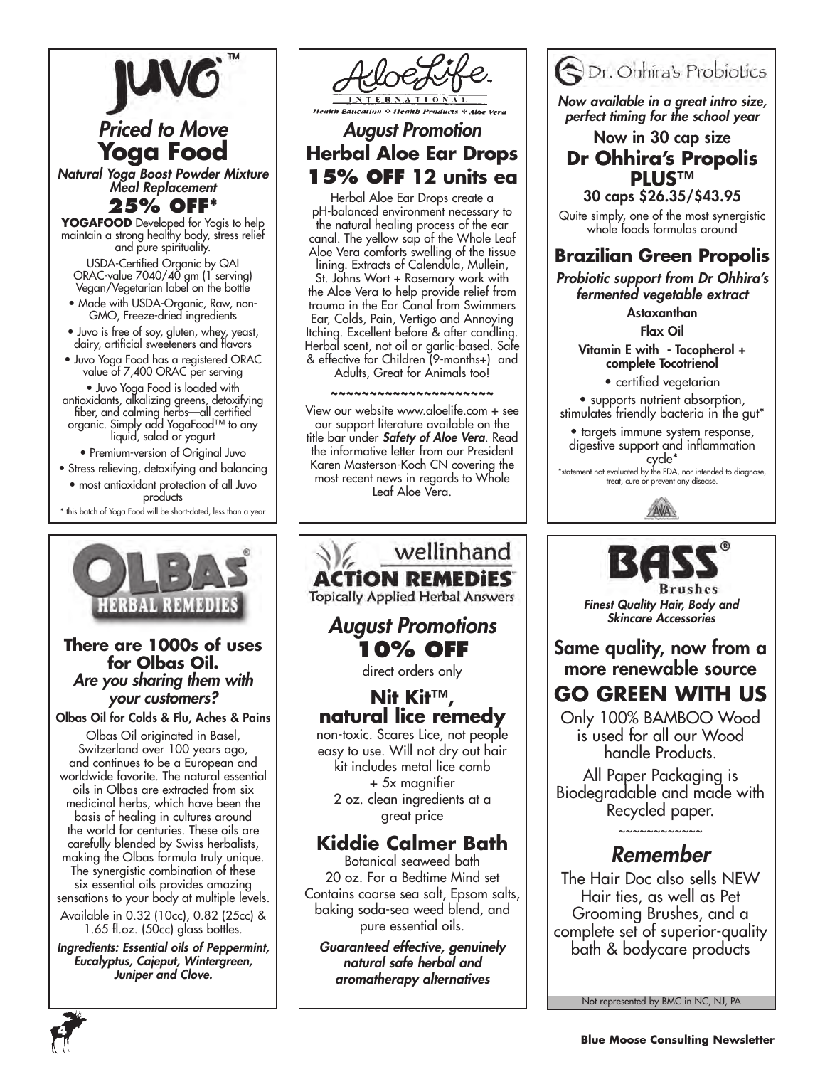

# *Priced to Move* **Yoga Food**

*Natural Yoga Boost Powder Mixture Meal Replacement*

#### **25% OFF\***

**YOGAFOOD** Developed for Yogis to help maintain a strong healthy body, stress relief and pure spirituality.

USDA-Certified Organic by QAI ORAC-value 7040/40 gm (1 serving) Vegan/Vegetarian label on the bottle

- Made with USDA-Organic, Raw, non-GMO, Freeze-dried ingredients
- Juvo is free of soy, gluten, whey, yeast, dairy, artificial sweeteners and flavors
- Juvo Yoga Food has a registered ORAC value of 7,400 ORAC per serving

• Juvo Yoga Food is loaded with antioxidants, alkalizing greens, detoxifying fiber, and calming herbs—all certified organic. Simply add YogaFood™ to any liquid, salad or yogurt

• Premium-version of Original Juvo

• Stress relieving, detoxifying and balancing • most antioxidant protection of all Juvo products

\* this batch of Yoga Food will be short-dated, less than a year



#### **There are 1000s of uses for Olbas Oil.**  *Are you sharing them with your customers?*

Olbas Oil for Colds & Flu, Aches & Pains

Olbas Oil originated in Basel, Switzerland over 100 years ago, and continues to be a European and worldwide favorite. The natural essential oils in Olbas are extracted from six medicinal herbs, which have been the basis of healing in cultures around the world for centuries. These oils are carefully blended by Swiss herbalists, making the Olbas formula truly unique. The synergistic combination of these six essential oils provides amazing sensations to your body at multiple levels. Available in 0.32 (10cc), 0.82 (25cc) &

1.65 fl.oz. (50cc) glass bottles.

*Ingredients: Essential oils of Peppermint, Eucalyptus, Cajeput, Wintergreen, Juniper and Clove.*



### *August Promotion* **Herbal Aloe Ear Drops 15% off 12 units ea**

Herbal Aloe Ear Drops create a pH-balanced environment necessary to the natural healing process of the ear canal. The yellow sap of the Whole Leaf Aloe Vera comforts swelling of the tissue

lining. Extracts of Calendula, Mullein, St. Johns Wort + Rosemary work with the Aloe Vera to help provide relief from trauma in the Ear Canal from Swimmers Ear, Colds, Pain, Vertigo and Annoying Itching. Excellent before & after candling. Herbal scent, not oil or garlic-based. Safe & effective for Children (9-months+) and Adults, Great for Animals too!

#### ~~~~~~~~~~~~~~~~~

View our website www.aloelife.com + see our support literature available on the title bar under *Safety of Aloe Vera*. Read the informative letter from our President Karen Masterson-Koch CN covering the most recent news in regards to Whole Leaf Aloe Vera.





pure essential oils. *Guaranteed effective, genuinely* 

*natural safe herbal and aromatherapy alternatives*



*Now available in a great intro size, perfect timing for the school year*

Now in 30 cap size **Dr Ohhira's Propolis PLUS™**  30 caps \$26.35/\$43.95

Quite simply, one of the most synergistic whole foods formulas around

### **Brazilian Green Propolis**

*Probiotic support from Dr Ohhira's fermented vegetable extract*

> Astaxanthan Flax Oil

Vitamin E with - Tocopherol + complete Tocotrienol

• certified vegetarian

• supports nutrient absorption, stimulates friendly bacteria in the gut\*

• targets immune system response, digestive support and inflammation cycle\*

\*statement not evaluated by the FDA, nor intended to diagnose, treat, cure or prevent any disease.





*Finest Quality Hair, Body and Skincare Accessories*

Same quality, now from a more renewable source

# **GO GREEN WITH US**

Only 100% BAMBOO Wood is used for all our Wood handle Products.

All Paper Packaging is Biodegradable and made with Recycled paper.

### ~~~~~~~~~~~~ *Remember*

The Hair Doc also sells NEW Hair ties, as well as Pet Grooming Brushes, and a complete set of superior-quality bath & bodycare products

Not represented by BMC in NC, NJ, PA

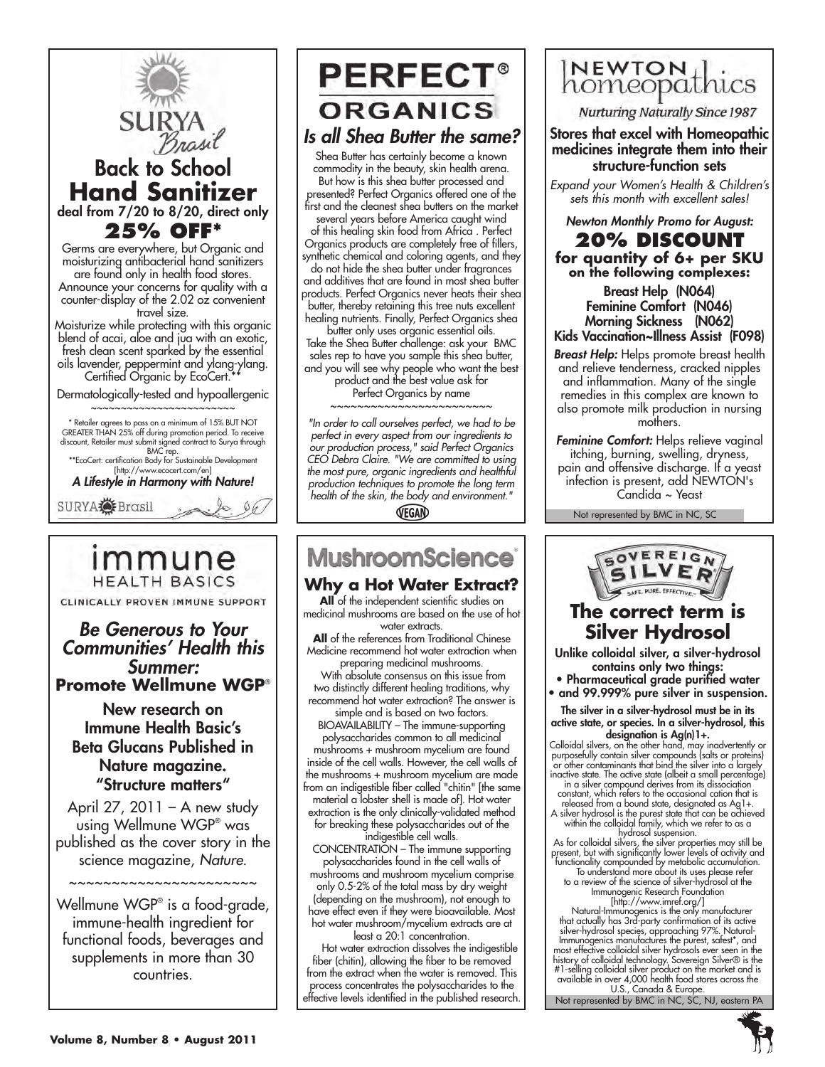

## immune **HEALTH BASICS**

CLINICALLY PROVEN IMMUNE SUPPORT

*Be Generous to Your Communities' Health this Summer:*  **Promote Wellmune WGP**®

#### New research on Immune Health Basic's Beta Glucans Published in Nature magazine. "Structure matters"

April  $27, 2011 - A$  new study using Wellmune WGP® was published as the cover story in the science magazine, *Nature*.

~~~~~~~~~~~~~~~~~~~~~

Wellmune WGP® is a food-grade, immune-health ingredient for functional foods, beverages and supplements in more than 30 countries.

# **PERFECT® ORGANICS**

### *Is all Shea Butter the same?*

Shea Butter has certainly become a known commodity in the beauty, skin health arena. But how is this shea butter processed and presented? Perfect Organics offered one of the first and the cleanest shea butters on the market

several years before America caught wind of this healing skin food from Africa . Perfect Organics products are completely free of fillers, synthetic chemical and coloring agents, and they do not hide the shea butter under fragrances and additives that are found in most shea butter products. Perfect Organics never heats their shea butter, thereby retaining this tree nuts excellent healing nutrients. Finally, Perfect Organics shea

butter only uses organic essential oils. Take the Shea Butter challenge: ask your BMC sales rep to have you sample this shea butter, and you will see why people who want the best product and the best value ask for Perfect Organics by name

~~~~~~~~~~~~~~~~~~~~~~

*"In order to call ourselves perfect, we had to be perfect in every aspect from our ingredients to our production process," said Perfect Organics CEO Debra Claire. "We are committed to using the most pure, organic ingredients and healthful production techniques to promote the long term health of the skin, the body and environment."* VEGAN

# **MushroomScience**

#### **Why a Hot Water Extract?**

**All** of the independent scientific studies on medicinal mushrooms are based on the use of hot water extracts.

**All** of the references from Traditional Chinese Medicine recommend hot water extraction when preparing medicinal mushrooms.

 With absolute consensus on this issue from two distinctly different healing traditions, why recommend hot water extraction? The answer is simple and is based on two factors.

BIOAVAILABILITY – The immune-supporting polysaccharides common to all medicinal mushrooms + mushroom mycelium are found inside of the cell walls. However, the cell walls of the mushrooms + mushroom mycelium are made from an indigestible fiber called "chitin" [the same material a lobster shell is made of]. Hot water extraction is the only clinically-validated method for breaking these polysaccharides out of the

indigestible cell walls.

CONCENTRATION – The immune supporting polysaccharides found in the cell walls of mushrooms and mushroom mycelium comprise only 0.5-2% of the total mass by dry weight (depending on the mushroom), not enough to have effect even if they were bioavailable. Most hot water mushroom/mycelium extracts are at least a 20:1 concentration.

 Hot water extraction dissolves the indigestible fiber (chitin), allowing the fiber to be removed from the extract when the water is removed. This process concentrates the polysaccharides to the effective levels identified in the published research.



Nurturing Naturally Since 1987

Stores that excel with Homeopathic medicines integrate them into their structure-function sets

*Expand your Women's Health & Children's sets this month with excellent sales!*

*Newton Monthly Promo for August:* **20% discount for quantity of 6+ per SKU on the following complexes:**

Breast Help (N064) Feminine Comfort (N046) Morning Sickness (N062) Kids Vaccination~Illness Assist (F098)

*Breast Help:* Helps promote breast health and relieve tenderness, cracked nipples and inflammation. Many of the single remedies in this complex are known to also promote milk production in nursing mothers.

*Feminine Comfort:* Helps relieve vaginal itching, burning, swelling, dryness, pain and offensive discharge. If a yeast infection is present, add NEWTON's Candida ~ Yeast

Not represented by BMC in NC, SC



### **The correct term is Silver Hydrosol**

Unlike colloidal silver, a silver-hydrosol contains only two things:

• Pharmaceutical grade purified water

• and 99.999% pure silver in suspension. The silver in a silver-hydrosol must be in its

active state, or species. In a silver-hydrosol, this designation is  $Ag(n)$  1+.

Colloidal silvers, on the other hand, may inadvertently or purposefully contain silver compounds (salts or proteins) or other contaminants that bind the silver into a largely inactive state. The active state (albeit a small percentage)

in a silver compound derives from its dissociation constant, which refers to the occasional cation that is

released from a bound state, designated as Ag1+. A silver hydrosol is the purest state that can be achieved within the colloidal family, which we refer to as a

hydrosol suspension.<br>As for colloidal silvers, the silver properties may still be<br>present, but with significantly lower levels of activity and<br>functionality compounded by metabolic accumulation.<br>To understand more about it

Immunogenic Research Foundation<br>
[http://www.imref.org/]<br>
Natural-Immunogenics is the only manufacturer<br>
that actually has 3rd-party confirmation of its active<br>
silver-hydrosol species, approaching 97%. Natural-<br>
Immunogen

Not represented by BMC in NC, SC, NJ, eastern PA

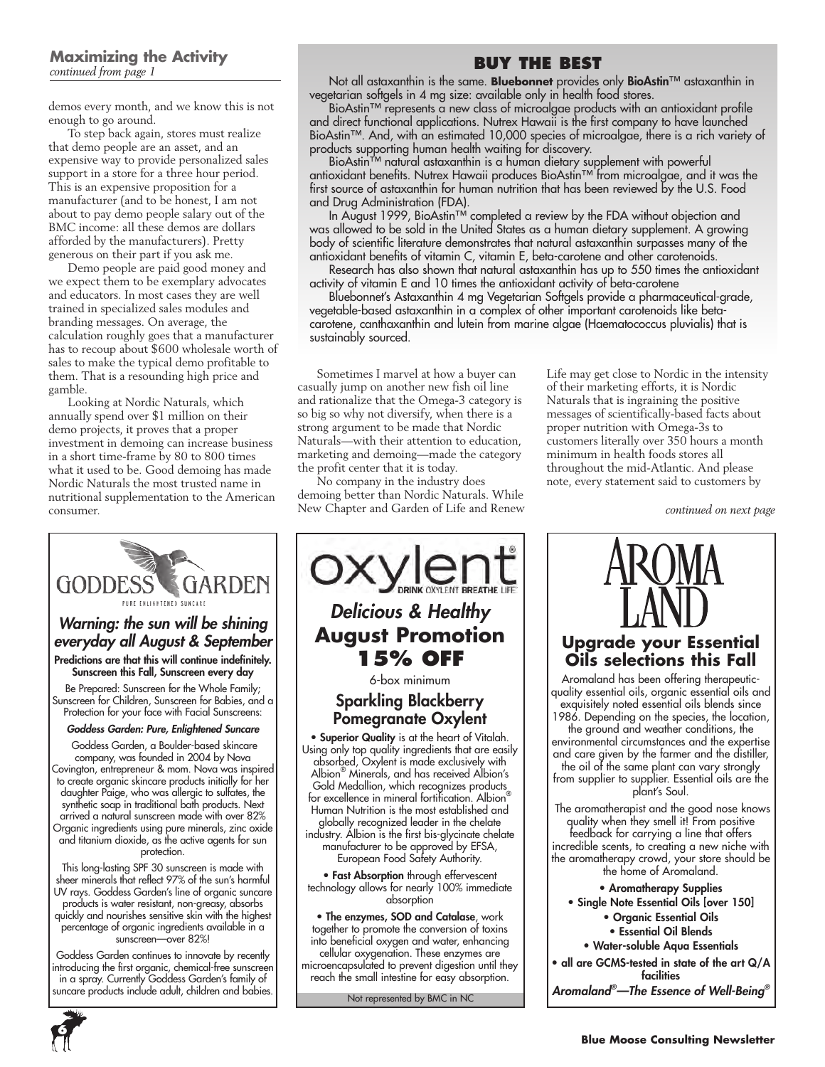#### **Maximizing the Activity** *continued from page 1*

demos every month, and we know this is not enough to go around.

To step back again, stores must realize that demo people are an asset, and an expensive way to provide personalized sales support in a store for a three hour period. This is an expensive proposition for a manufacturer (and to be honest, I am not about to pay demo people salary out of the BMC income: all these demos are dollars afforded by the manufacturers). Pretty generous on their part if you ask me.

Demo people are paid good money and we expect them to be exemplary advocates and educators. In most cases they are well trained in specialized sales modules and branding messages. On average, the calculation roughly goes that a manufacturer has to recoup about \$600 wholesale worth of sales to make the typical demo profitable to them. That is a resounding high price and gamble.

Looking at Nordic Naturals, which annually spend over \$1 million on their demo projects, it proves that a proper investment in demoing can increase business in a short time-frame by 80 to 800 times what it used to be. Good demoing has made Nordic Naturals the most trusted name in nutritional supplementation to the American consumer.

### **Buy the Best**

Not all astaxanthin is the same. **Bluebonnet** provides only BioAstin™ astaxanthin in vegetarian softgels in 4 mg size: available only in health food stores.

BioAstin™ represents a new class of microalgae products with an antioxidant profile and direct functional applications. Nutrex Hawaii is the first company to have launched BioAstin™. And, with an estimated 10,000 species of microalgae, there is a rich variety of products supporting human health waiting for discovery.

BioAstin™ natural astaxanthin is a human dietary supplement with powerful antioxidant benefits. Nutrex Hawaii produces BioAstin™ from microalgae, and it was the first source of astaxanthin for human nutrition that has been reviewed by the U.S. Food and Drug Administration (FDA).

In August 1999, BioAstin™ completed a review by the FDA without objection and was allowed to be sold in the United States as a human dietary supplement. A growing body of scientific literature demonstrates that natural astaxanthin surpasses many of the antioxidant benefits of vitamin C, vitamin E, beta-carotene and other carotenoids.

Research has also shown that natural astaxanthin has up to 550 times the antioxidant activity of vitamin E and 10 times the antioxidant activity of beta-carotene

Bluebonnet's Astaxanthin 4 mg Vegetarian Softgels provide a pharmaceutical-grade, vegetable-based astaxanthin in a complex of other important carotenoids like betacarotene, canthaxanthin and lutein from marine algae (Haematococcus pluvialis) that is sustainably sourced.

Sometimes I marvel at how a buyer can casually jump on another new fish oil line and rationalize that the Omega-3 category is so big so why not diversify, when there is a strong argument to be made that Nordic Naturals—with their attention to education, marketing and demoing—made the category the profit center that it is today.

No company in the industry does demoing better than Nordic Naturals. While New Chapter and Garden of Life and Renew Life may get close to Nordic in the intensity of their marketing efforts, it is Nordic Naturals that is ingraining the positive messages of scientifically-based facts about proper nutrition with Omega-3s to customers literally over 350 hours a month minimum in health foods stores all throughout the mid-Atlantic. And please note, every statement said to customers by

*continued on next page*



percentage of organic ingredients available in a sunscreen—over 82%!

Goddess Garden continues to innovate by recently introducing the first organic, chemical-free sunscreen in a spray. Currently Goddess Garden's family of suncare products include adult, children and babies. Not represented by BMC in NC



industry. Albion is the first bis-glycinate chelate manufacturer to be approved by EFSA, European Food Safety Authority.

• Fast Absorption through effervescent technology allows for nearly 100% immediate absorption

• The enzymes, SOD and Catalase, work together to promote the conversion of toxins into beneficial oxygen and water, enhancing cellular oxygenation. These enzymes are microencapsulated to prevent digestion until they reach the small intestine for easy absorption.



#### **Upgrade your Essential Oils selections this Fall**

Aromaland has been offering therapeuticquality essential oils, organic essential oils and exquisitely noted essential oils blends since 1986. Depending on the species, the location,

the ground and weather conditions, the environmental circumstances and the expertise and care given by the farmer and the distiller, the oil of the same plant can vary strongly from supplier to supplier. Essential oils are the plant's Soul.

 The aromatherapist and the good nose knows quality when they smell it! From positive feedback for carrying a line that offers incredible scents, to creating a new niche with the aromatherapy crowd, your store should be the home of Aromaland.

- Aromatherapy Supplies
- Single Note Essential Oils [over 150]
	- Organic Essential Oils
		- Essential Oil Blends
	- Water-soluble Aqua Essentials

• all are GCMS-tested in state of the art Q/A facilities *Aromaland® —The Essence of Well-Being®*

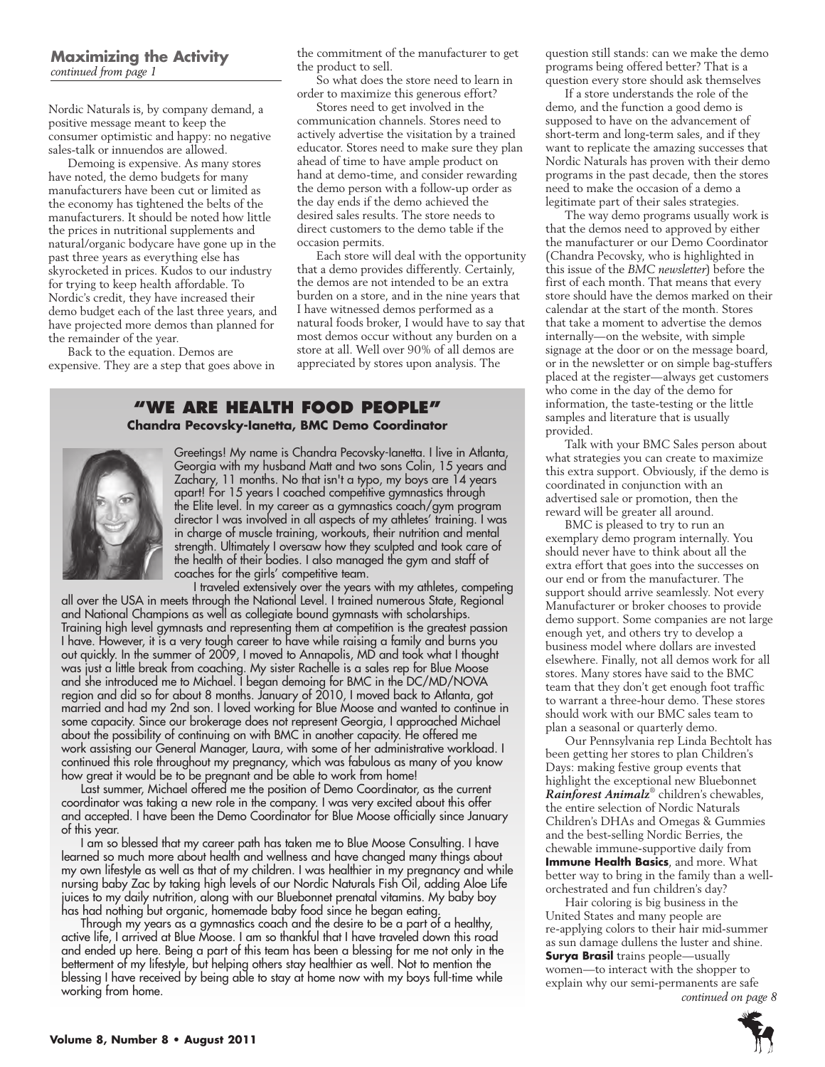Nordic Naturals is, by company demand, a positive message meant to keep the consumer optimistic and happy: no negative sales-talk or innuendos are allowed.

Demoing is expensive. As many stores have noted, the demo budgets for many manufacturers have been cut or limited as the economy has tightened the belts of the manufacturers. It should be noted how little the prices in nutritional supplements and natural/organic bodycare have gone up in the past three years as everything else has skyrocketed in prices. Kudos to our industry for trying to keep health affordable. To Nordic's credit, they have increased their demo budget each of the last three years, and have projected more demos than planned for the remainder of the year.

Back to the equation. Demos are expensive. They are a step that goes above in the commitment of the manufacturer to get the product to sell.

So what does the store need to learn in order to maximize this generous effort?

Stores need to get involved in the communication channels. Stores need to actively advertise the visitation by a trained educator. Stores need to make sure they plan ahead of time to have ample product on hand at demo-time, and consider rewarding the demo person with a follow-up order as the day ends if the demo achieved the desired sales results. The store needs to direct customers to the demo table if the occasion permits.

Each store will deal with the opportunity that a demo provides differently. Certainly, the demos are not intended to be an extra burden on a store, and in the nine years that I have witnessed demos performed as a natural foods broker, I would have to say that most demos occur without any burden on a store at all. Well over 90% of all demos are appreciated by stores upon analysis. The

#### **"We Are health food people" Chandra Pecovsky-Ianetta, BMC Demo Coordinator**



Greetings! My name is Chandra Pecovsky-Ianetta. I live in Atlanta, Georgia with my husband Matt and two sons Colin, 15 years and Zachary, 11 months. No that isn't a typo, my boys are 14 years apart! For 15 years I coached competitive gymnastics through the Elite level. In my career as a gymnastics coach/gym program director I was involved in all aspects of my athletes' training. I was in charge of muscle training, workouts, their nutrition and mental strength. Ultimately I oversaw how they sculpted and took care of the health of their bodies. I also managed the gym and staff of coaches for the girls' competitive team.

I traveled extensively over the years with my athletes, competing all over the USA in meets through the National Level. I trained numerous State, Regional and National Champions as well as collegiate bound gymnasts with scholarships. Training high level gymnasts and representing them at competition is the greatest passion I have. However, it is a very tough career to have while raising a family and burns you out quickly. In the summer of 2009, I moved to Annapolis, MD and took what I thought was just a little break from coaching. My sister Rachelle is a sales rep for Blue Moose and she introduced me to Michael. I began demoing for BMC in the DC/MD/NOVA region and did so for about 8 months. January of 2010, I moved back to Atlanta, got married and had my 2nd son. I loved working for Blue Moose and wanted to continue in some capacity. Since our brokerage does not represent Georgia, I approached Michael about the possibility of continuing on with BMC in another capacity. He offered me work assisting our General Manager, Laura, with some of her administrative workload. I continued this role throughout my pregnancy, which was fabulous as many of you know how great it would be to be pregnant and be able to work from home!

Last summer, Michael offered me the position of Demo Coordinator, as the current coordinator was taking a new role in the company. I was very excited about this offer and accepted. I have been the Demo Coordinator for Blue Moose officially since January of this year.

I am so blessed that my career path has taken me to Blue Moose Consulting. I have learned so much more about health and wellness and have changed many things about my own lifestyle as well as that of my children. I was healthier in my pregnancy and while nursing baby Zac by taking high levels of our Nordic Naturals Fish Oil, adding Aloe Life juices to my daily nutrition, along with our Bluebonnet prenatal vitamins. My baby boy has had nothing but organic, homemade baby food since he began eating.

Through my years as a gymnastics coach and the desire to be a part of a healthy, active life, I arrived at Blue Moose. I am so thankful that I have traveled down this road and ended up here. Being a part of this team has been a blessing for me not only in the betterment of my lifestyle, but helping others stay healthier as well. Not to mention the blessing I have received by being able to stay at home now with my boys full-time while working from home.

question still stands: can we make the demo programs being offered better? That is a question every store should ask themselves

If a store understands the role of the demo, and the function a good demo is supposed to have on the advancement of short-term and long-term sales, and if they want to replicate the amazing successes that Nordic Naturals has proven with their demo programs in the past decade, then the stores need to make the occasion of a demo a legitimate part of their sales strategies.

The way demo programs usually work is that the demos need to approved by either the manufacturer or our Demo Coordinator (Chandra Pecovsky, who is highlighted in this issue of the *BMC newsletter*) before the first of each month. That means that every store should have the demos marked on their calendar at the start of the month. Stores that take a moment to advertise the demos internally—on the website, with simple signage at the door or on the message board, or in the newsletter or on simple bag-stuffers placed at the register—always get customers who come in the day of the demo for information, the taste-testing or the little samples and literature that is usually provided.

Talk with your BMC Sales person about what strategies you can create to maximize this extra support. Obviously, if the demo is coordinated in conjunction with an advertised sale or promotion, then the reward will be greater all around.

BMC is pleased to try to run an exemplary demo program internally. You should never have to think about all the extra effort that goes into the successes on our end or from the manufacturer. The support should arrive seamlessly. Not every Manufacturer or broker chooses to provide demo support. Some companies are not large enough yet, and others try to develop a business model where dollars are invested elsewhere. Finally, not all demos work for all stores. Many stores have said to the BMC team that they don't get enough foot traffic to warrant a three-hour demo. These stores should work with our BMC sales team to plan a seasonal or quarterly demo.

Our Pennsylvania rep Linda Bechtolt has been getting her stores to plan Children's Days: making festive group events that highlight the exceptional new Bluebonnet *Rainforest Animalz*® children's chewables, the entire selection of Nordic Naturals Children's DHAs and Omegas & Gummies and the best-selling Nordic Berries, the chewable immune-supportive daily from **Immune Health Basics**, and more. What better way to bring in the family than a wellorchestrated and fun children's day?

Hair coloring is big business in the United States and many people are re-applying colors to their hair mid-summer as sun damage dullens the luster and shine. **Surya Brasil** trains people—usually women—to interact with the shopper to explain why our semi-permanents are safe *continued on page 8*